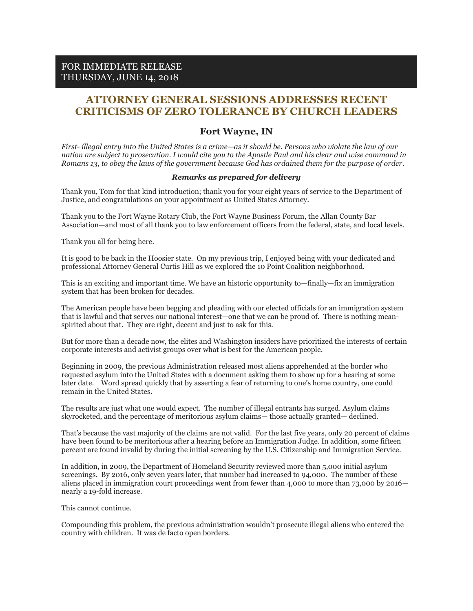## **ATTORNEY GENERAL SESSIONS ADDRESSES RECENT CRITICISMS OF ZERO TOLERANCE BY CHURCH LEADERS**

## **Fort Wayne, IN**

*First- illegal entry into the United States is a crime—as it should be. Persons who violate the law of our nation are subject to prosecution. I would cite you to the Apostle Paul and his clear and wise command in Romans 13, to obey the laws of the government because God has ordained them for the purpose of order.*

## *Remarks as prepared for delivery*

Thank you, Tom for that kind introduction; thank you for your eight years of service to the Department of Justice, and congratulations on your appointment as United States Attorney.

Thank you to the Fort Wayne Rotary Club, the Fort Wayne Business Forum, the Allan County Bar Association—and most of all thank you to law enforcement officers from the federal, state, and local levels.

Thank you all for being here.

It is good to be back in the Hoosier state. On my previous trip, I enjoyed being with your dedicated and professional Attorney General Curtis Hill as we explored the 10 Point Coalition neighborhood.

This is an exciting and important time. We have an historic opportunity to—finally—fix an immigration system that has been broken for decades.

The American people have been begging and pleading with our elected officials for an immigration system that is lawful and that serves our national interest—one that we can be proud of. There is nothing meanspirited about that. They are right, decent and just to ask for this.

But for more than a decade now, the elites and Washington insiders have prioritized the interests of certain corporate interests and activist groups over what is best for the American people.

Beginning in 2009, the previous Administration released most aliens apprehended at the border who requested asylum into the United States with a document asking them to show up for a hearing at some later date. Word spread quickly that by asserting a fear of returning to one's home country, one could remain in the United States.

The results are just what one would expect. The number of illegal entrants has surged. Asylum claims skyrocketed, and the percentage of meritorious asylum claims— those actually granted— declined.

That's because the vast majority of the claims are not valid. For the last five years, only 20 percent of claims have been found to be meritorious after a hearing before an Immigration Judge. In addition, some fifteen percent are found invalid by during the initial screening by the U.S. Citizenship and Immigration Service.

In addition, in 2009, the Department of Homeland Security reviewed more than 5,000 initial asylum screenings. By 2016, only seven years later, that number had increased to 94,000. The number of these aliens placed in immigration court proceedings went from fewer than 4,000 to more than 73,000 by 2016 nearly a 19-fold increase.

## This cannot continue.

Compounding this problem, the previous administration wouldn't prosecute illegal aliens who entered the country with children. It was de facto open borders.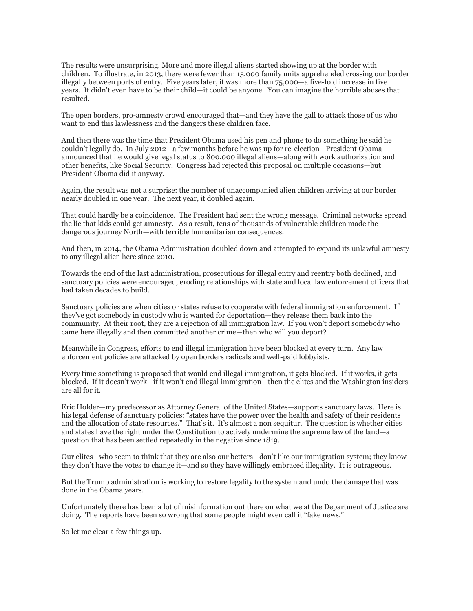The results were unsurprising. More and more illegal aliens started showing up at the border with children. To illustrate, in 2013, there were fewer than 15,000 family units apprehended crossing our border illegally between ports of entry. Five years later, it was more than 75,000—a five-fold increase in five years. It didn't even have to be their child—it could be anyone. You can imagine the horrible abuses that resulted.

The open borders, pro-amnesty crowd encouraged that—and they have the gall to attack those of us who want to end this lawlessness and the dangers these children face.

And then there was the time that President Obama used his pen and phone to do something he said he couldn't legally do. In July 2012—a few months before he was up for re-election—President Obama announced that he would give legal status to 800,000 illegal aliens—along with work authorization and other benefits, like Social Security. Congress had rejected this proposal on multiple occasions—but President Obama did it anyway.

Again, the result was not a surprise: the number of unaccompanied alien children arriving at our border nearly doubled in one year. The next year, it doubled again.

That could hardly be a coincidence. The President had sent the wrong message. Criminal networks spread the lie that kids could get amnesty. As a result, tens of thousands of vulnerable children made the dangerous journey North—with terrible humanitarian consequences.

And then, in 2014, the Obama Administration doubled down and attempted to expand its unlawful amnesty to any illegal alien here since 2010.

Towards the end of the last administration, prosecutions for illegal entry and reentry both declined, and sanctuary policies were encouraged, eroding relationships with state and local law enforcement officers that had taken decades to build.

Sanctuary policies are when cities or states refuse to cooperate with federal immigration enforcement. If they've got somebody in custody who is wanted for deportation—they release them back into the community. At their root, they are a rejection of all immigration law. If you won't deport somebody who came here illegally and then committed another crime—then who will you deport?

Meanwhile in Congress, efforts to end illegal immigration have been blocked at every turn. Any law enforcement policies are attacked by open borders radicals and well-paid lobbyists.

Every time something is proposed that would end illegal immigration, it gets blocked. If it works, it gets blocked. If it doesn't work—if it won't end illegal immigration—then the elites and the Washington insiders are all for it.

Eric Holder—my predecessor as Attorney General of the United States—supports sanctuary laws. Here is his legal defense of sanctuary policies: "states have the power over the health and safety of their residents and the allocation of state resources." That's it. It's almost a non sequitur. The question is whether cities and states have the right under the Constitution to actively undermine the supreme law of the land—a question that has been settled repeatedly in the negative since 1819.

Our elites—who seem to think that they are also our betters—don't like our immigration system; they know they don't have the votes to change it—and so they have willingly embraced illegality. It is outrageous.

But the Trump administration is working to restore legality to the system and undo the damage that was done in the Obama years.

Unfortunately there has been a lot of misinformation out there on what we at the Department of Justice are doing. The reports have been so wrong that some people might even call it "fake news."

So let me clear a few things up.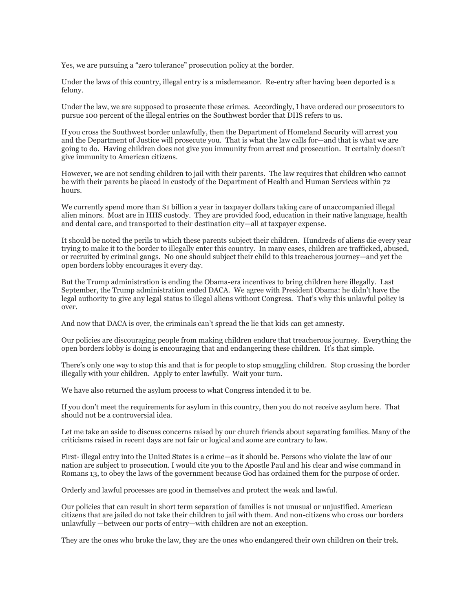Yes, we are pursuing a "zero tolerance" prosecution policy at the border.

Under the laws of this country, illegal entry is a misdemeanor. Re-entry after having been deported is a felony.

Under the law, we are supposed to prosecute these crimes. Accordingly, I have ordered our prosecutors to pursue 100 percent of the illegal entries on the Southwest border that DHS refers to us.

If you cross the Southwest border unlawfully, then the Department of Homeland Security will arrest you and the Department of Justice will prosecute you. That is what the law calls for—and that is what we are going to do. Having children does not give you immunity from arrest and prosecution. It certainly doesn't give immunity to American citizens.

However, we are not sending children to jail with their parents. The law requires that children who cannot be with their parents be placed in custody of the Department of Health and Human Services within 72 hours.

We currently spend more than \$1 billion a year in taxpayer dollars taking care of unaccompanied illegal alien minors. Most are in HHS custody. They are provided food, education in their native language, health and dental care, and transported to their destination city—all at taxpayer expense.

It should be noted the perils to which these parents subject their children. Hundreds of aliens die every year trying to make it to the border to illegally enter this country. In many cases, children are trafficked, abused, or recruited by criminal gangs. No one should subject their child to this treacherous journey—and yet the open borders lobby encourages it every day.

But the Trump administration is ending the Obama-era incentives to bring children here illegally. Last September, the Trump administration ended DACA. We agree with President Obama: he didn't have the legal authority to give any legal status to illegal aliens without Congress. That's why this unlawful policy is over.

And now that DACA is over, the criminals can't spread the lie that kids can get amnesty.

Our policies are discouraging people from making children endure that treacherous journey. Everything the open borders lobby is doing is encouraging that and endangering these children. It's that simple.

There's only one way to stop this and that is for people to stop smuggling children. Stop crossing the border illegally with your children. Apply to enter lawfully. Wait your turn.

We have also returned the asylum process to what Congress intended it to be.

If you don't meet the requirements for asylum in this country, then you do not receive asylum here. That should not be a controversial idea.

Let me take an aside to discuss concerns raised by our church friends about separating families. Many of the criticisms raised in recent days are not fair or logical and some are contrary to law.

First- illegal entry into the United States is a crime—as it should be. Persons who violate the law of our nation are subject to prosecution. I would cite you to the Apostle Paul and his clear and wise command in Romans 13, to obey the laws of the government because God has ordained them for the purpose of order.

Orderly and lawful processes are good in themselves and protect the weak and lawful.

Our policies that can result in short term separation of families is not unusual or unjustified. American citizens that are jailed do not take their children to jail with them. And non-citizens who cross our borders unlawfully —between our ports of entry—with children are not an exception.

They are the ones who broke the law, they are the ones who endangered their own children on their trek.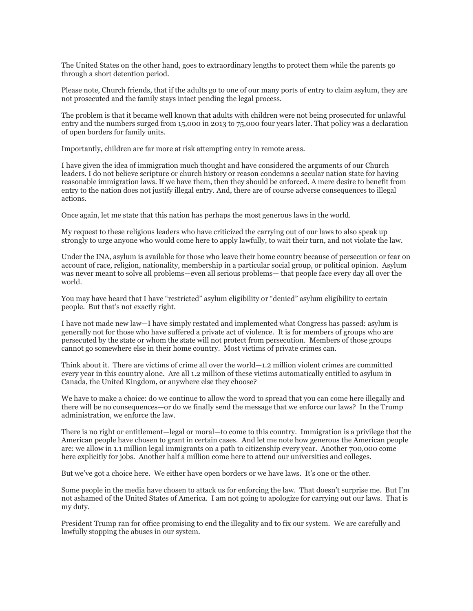The United States on the other hand, goes to extraordinary lengths to protect them while the parents go through a short detention period.

Please note, Church friends, that if the adults go to one of our many ports of entry to claim asylum, they are not prosecuted and the family stays intact pending the legal process.

The problem is that it became well known that adults with children were not being prosecuted for unlawful entry and the numbers surged from 15,000 in 2013 to 75,000 four years later. That policy was a declaration of open borders for family units.

Importantly, children are far more at risk attempting entry in remote areas.

I have given the idea of immigration much thought and have considered the arguments of our Church leaders. I do not believe scripture or church history or reason condemns a secular nation state for having reasonable immigration laws. If we have them, then they should be enforced. A mere desire to benefit from entry to the nation does not justify illegal entry. And, there are of course adverse consequences to illegal actions.

Once again, let me state that this nation has perhaps the most generous laws in the world.

My request to these religious leaders who have criticized the carrying out of our laws to also speak up strongly to urge anyone who would come here to apply lawfully, to wait their turn, and not violate the law.

Under the INA, asylum is available for those who leave their home country because of persecution or fear on account of race, religion, nationality, membership in a particular social group, or political opinion. Asylum was never meant to solve all problems—even all serious problems— that people face every day all over the world.

You may have heard that I have "restricted" asylum eligibility or "denied" asylum eligibility to certain people. But that's not exactly right.

I have not made new law—I have simply restated and implemented what Congress has passed: asylum is generally not for those who have suffered a private act of violence. It is for members of groups who are persecuted by the state or whom the state will not protect from persecution. Members of those groups cannot go somewhere else in their home country. Most victims of private crimes can.

Think about it. There are victims of crime all over the world—1.2 million violent crimes are committed every year in this country alone. Are all 1.2 million of these victims automatically entitled to asylum in Canada, the United Kingdom, or anywhere else they choose?

We have to make a choice: do we continue to allow the word to spread that you can come here illegally and there will be no consequences—or do we finally send the message that we enforce our laws? In the Trump administration, we enforce the law.

There is no right or entitlement—legal or moral—to come to this country. Immigration is a privilege that the American people have chosen to grant in certain cases. And let me note how generous the American people are: we allow in 1.1 million legal immigrants on a path to citizenship every year. Another 700,000 come here explicitly for jobs. Another half a million come here to attend our universities and colleges.

But we've got a choice here. We either have open borders or we have laws. It's one or the other.

Some people in the media have chosen to attack us for enforcing the law. That doesn't surprise me. But I'm not ashamed of the United States of America. I am not going to apologize for carrying out our laws. That is my duty.

President Trump ran for office promising to end the illegality and to fix our system. We are carefully and lawfully stopping the abuses in our system.